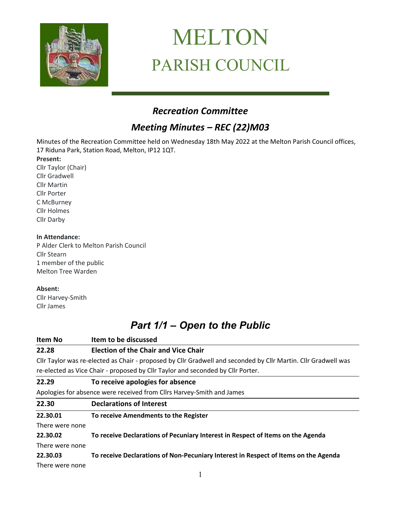

# MELTON PARISH COUNCIL

# *Recreation Committee*

# *Meeting Minutes – REC (22)M03*

Minutes of the Recreation Committee held on Wednesday 18th May 2022 at the Melton Parish Council offices, 17 Riduna Park, Station Road, Melton, IP12 1QT.

**Present:**

Cllr Taylor (Chair) Cllr Gradwell Cllr Martin Cllr Porter C McBurney Cllr Holmes Cllr Darby

#### **In Attendance:**

P Alder Clerk to Melton Parish Council Cllr Stearn 1 member of the public Melton Tree Warden

#### **Absent:**

Cllr Harvey-Smith Cllr James

# *Part 1/1 – Open to the Public*

| <b>Item No</b>  | Item to be discussed                                                                                           |
|-----------------|----------------------------------------------------------------------------------------------------------------|
| 22.28           | <b>Election of the Chair and Vice Chair</b>                                                                    |
|                 | Cllr Taylor was re-elected as Chair - proposed by Cllr Gradwell and seconded by Cllr Martin. Cllr Gradwell was |
|                 | re-elected as Vice Chair - proposed by Cllr Taylor and seconded by Cllr Porter.                                |
| 22.29           | To receive apologies for absence                                                                               |
|                 | Apologies for absence were received from Cllrs Harvey-Smith and James                                          |
| 22.30           | <b>Declarations of Interest</b>                                                                                |
| 22.30.01        | To receive Amendments to the Register                                                                          |
| There were none |                                                                                                                |
| 22.30.02        | To receive Declarations of Pecuniary Interest in Respect of Items on the Agenda                                |
| There were none |                                                                                                                |
| 22.30.03        | To receive Declarations of Non-Pecuniary Interest in Respect of Items on the Agenda                            |
| There were none |                                                                                                                |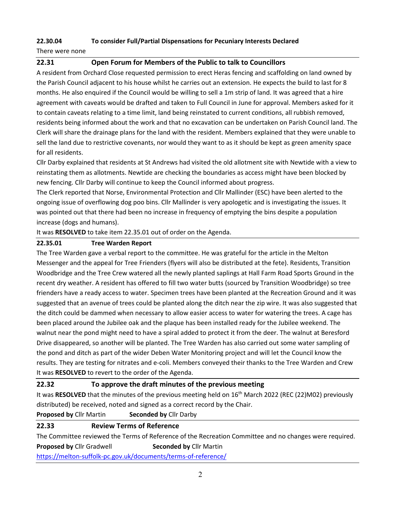#### **22.30.04 To consider Full/Partial Dispensations for Pecuniary Interests Declared**

There were none

#### **22.31 Open Forum for Members of the Public to talk to Councillors**

A resident from Orchard Close requested permission to erect Heras fencing and scaffolding on land owned by the Parish Council adjacent to his house whilst he carries out an extension. He expects the build to last for 8 months. He also enquired if the Council would be willing to sell a 1m strip of land. It was agreed that a hire agreement with caveats would be drafted and taken to Full Council in June for approval. Members asked for it to contain caveats relating to a time limit, land being reinstated to current conditions, all rubbish removed, residents being informed about the work and that no excavation can be undertaken on Parish Council land. The Clerk will share the drainage plans for the land with the resident. Members explained that they were unable to sell the land due to restrictive covenants, nor would they want to as it should be kept as green amenity space for all residents.

Cllr Darby explained that residents at St Andrews had visited the old allotment site with Newtide with a view to reinstating them as allotments. Newtide are checking the boundaries as access might have been blocked by new fencing. Cllr Darby will continue to keep the Council informed about progress.

The Clerk reported that Norse, Environmental Protection and Cllr Mallinder (ESC) have been alerted to the ongoing issue of overflowing dog poo bins. Cllr Mallinder is very apologetic and is investigating the issues. It was pointed out that there had been no increase in frequency of emptying the bins despite a population increase (dogs and humans).

It was **RESOLVED** to take item 22.35.01 out of order on the Agenda.

#### **22.35.01 Tree Warden Report**

The Tree Warden gave a verbal report to the committee. He was grateful for the article in the Melton Messenger and the appeal for Tree Frienders (flyers will also be distributed at the fete). Residents, Transition Woodbridge and the Tree Crew watered all the newly planted saplings at Hall Farm Road Sports Ground in the recent dry weather. A resident has offered to fill two water butts (sourced by Transition Woodbridge) so tree frienders have a ready access to water. Specimen trees have been planted at the Recreation Ground and it was suggested that an avenue of trees could be planted along the ditch near the zip wire. It was also suggested that the ditch could be dammed when necessary to allow easier access to water for watering the trees. A cage has been placed around the Jubilee oak and the plaque has been installed ready for the Jubilee weekend. The walnut near the pond might need to have a spiral added to protect it from the deer. The walnut at Beresford Drive disappeared, so another will be planted. The Tree Warden has also carried out some water sampling of the pond and ditch as part of the wider Deben Water Monitoring project and will let the Council know the results. They are testing for nitrates and e-coli. Members conveyed their thanks to the Tree Warden and Crew It was **RESOLVED** to revert to the order of the Agenda.

#### **22.32 To approve the draft minutes of the previous meeting**

It was **RESOLVED** that the minutes of the previous meeting held on 16th March 2022 (REC (22)M02) previously distributed) be received, noted and signed as a correct record by the Chair.

**Proposed by** Cllr Martin **Seconded by** Cllr Darby

# **22.33 Review Terms of Reference**

The Committee reviewed the Terms of Reference of the Recreation Committee and no changes were required. **Proposed by Cllr Gradwell <b>Seconded by** Cllr Martin

<https://melton-suffolk-pc.gov.uk/documents/terms-of-reference/>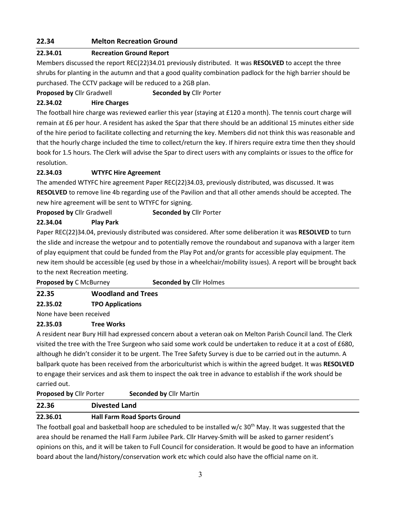# **22.34 Melton Recreation Ground**

#### **22.34.01 Recreation Ground Report**

Members discussed the report REC(22)34.01 previously distributed. It was **RESOLVED** to accept the three shrubs for planting in the autumn and that a good quality combination padlock for the high barrier should be purchased. The CCTV package will be reduced to a 2GB plan.

#### **Proposed by** Cllr Gradwell **Seconded by** Cllr Porter

#### **22.34.02 Hire Charges**

The football hire charge was reviewed earlier this year (staying at £120 a month). The tennis court charge will remain at £6 per hour. A resident has asked the Spar that there should be an additional 15 minutes either side of the hire period to facilitate collecting and returning the key. Members did not think this was reasonable and that the hourly charge included the time to collect/return the key. If hirers require extra time then they should book for 1.5 hours. The Clerk will advise the Spar to direct users with any complaints or issues to the office for resolution.

#### **22.34.03 WTYFC Hire Agreement**

The amended WTYFC hire agreement Paper REC(22)34.03, previously distributed, was discussed. It was **RESOLVED** to remove line 4b regarding use of the Pavilion and that all other amends should be accepted. The new hire agreement will be sent to WTYFC for signing.

# **Proposed by** Cllr Gradwell **Seconded by** Cllr Porter

#### **22.34.04 Play Park**

Paper REC(22)34.04, previously distributed was considered. After some deliberation it was **RESOLVED** to turn the slide and increase the wetpour and to potentially remove the roundabout and supanova with a larger item of play equipment that could be funded from the Play Pot and/or grants for accessible play equipment. The new item should be accessible (eg used by those in a wheelchair/mobility issues). A report will be brought back to the next Recreation meeting.

| <b>Proposed by C McBurney</b> | <b>Seconded by Cllr Holmes</b> |
|-------------------------------|--------------------------------|
|                               |                                |

# **22.35 Woodland and Trees**

# **22.35.02 TPO Applications**

None have been received

# **22.35.03 Tree Works**

A resident near Bury Hill had expressed concern about a veteran oak on Melton Parish Council land. The Clerk visited the tree with the Tree Surgeon who said some work could be undertaken to reduce it at a cost of £680, although he didn't consider it to be urgent. The Tree Safety Survey is due to be carried out in the autumn. A ballpark quote has been received from the arboriculturist which is within the agreed budget. It was **RESOLVED**  to engage their services and ask them to inspect the oak tree in advance to establish if the work should be carried out.

#### **Proposed by** Cllr Porter **Seconded by** Cllr Martin

| 22.36 | <b>Divested Land</b> |
|-------|----------------------|
|       |                      |

# **22.36.01 Hall Farm Road Sports Ground**

The football goal and basketball hoop are scheduled to be installed  $w/c$  30<sup>th</sup> May. It was suggested that the area should be renamed the Hall Farm Jubilee Park. Cllr Harvey-Smith will be asked to garner resident's opinions on this, and it will be taken to Full Council for consideration. It would be good to have an information board about the land/history/conservation work etc which could also have the official name on it.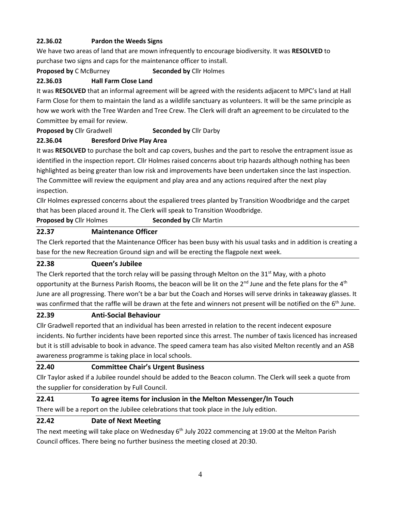# **22.36.02 Pardon the Weeds Signs**

We have two areas of land that are mown infrequently to encourage biodiversity. It was **RESOLVED** to purchase two signs and caps for the maintenance officer to install.

**Proposed by** C McBurney **Seconded by** Cllr Holmes

# **22.36.03 Hall Farm Close Land**

It was **RESOLVED** that an informal agreement will be agreed with the residents adjacent to MPC's land at Hall Farm Close for them to maintain the land as a wildlife sanctuary as volunteers. It will be the same principle as how we work with the Tree Warden and Tree Crew. The Clerk will draft an agreement to be circulated to the Committee by email for review.

# **Proposed by** Cllr Gradwell **Seconded by** Cllr Darby

# **22.36.04 Beresford Drive Play Area**

It was **RESOLVED** to purchase the bolt and cap covers, bushes and the part to resolve the entrapment issue as identified in the inspection report. Cllr Holmes raised concerns about trip hazards although nothing has been highlighted as being greater than low risk and improvements have been undertaken since the last inspection. The Committee will review the equipment and play area and any actions required after the next play inspection.

Cllr Holmes expressed concerns about the espaliered trees planted by Transition Woodbridge and the carpet that has been placed around it. The Clerk will speak to Transition Woodbridge.

**Proposed by** Cllr Holmes **Seconded by** Cllr Martin

# **22.37 Maintenance Officer**

The Clerk reported that the Maintenance Officer has been busy with his usual tasks and in addition is creating a base for the new Recreation Ground sign and will be erecting the flagpole next week.

# **22.38 Queen's Jubilee**

The Clerk reported that the torch relay will be passing through Melton on the  $31<sup>st</sup>$  May, with a photo opportunity at the Burness Parish Rooms, the beacon will be lit on the  $2^{nd}$  June and the fete plans for the  $4^{th}$ June are all progressing. There won't be a bar but the Coach and Horses will serve drinks in takeaway glasses. It was confirmed that the raffle will be drawn at the fete and winners not present will be notified on the 6<sup>th</sup> June.

# **22.39 Anti-Social Behaviour**

Cllr Gradwell reported that an individual has been arrested in relation to the recent indecent exposure incidents. No further incidents have been reported since this arrest. The number of taxis licenced has increased but it is still advisable to book in advance. The speed camera team has also visited Melton recently and an ASB awareness programme is taking place in local schools.

# **22.40 Committee Chair's Urgent Business**

Cllr Taylor asked if a Jubilee roundel should be added to the Beacon column. The Clerk will seek a quote from the supplier for consideration by Full Council.

# **22.41 To agree items for inclusion in the Melton Messenger/In Touch**

There will be a report on the Jubilee celebrations that took place in the July edition.

# **22.42 Date of Next Meeting**

The next meeting will take place on Wednesday  $6<sup>th</sup>$  July 2022 commencing at 19:00 at the Melton Parish Council offices. There being no further business the meeting closed at 20:30.